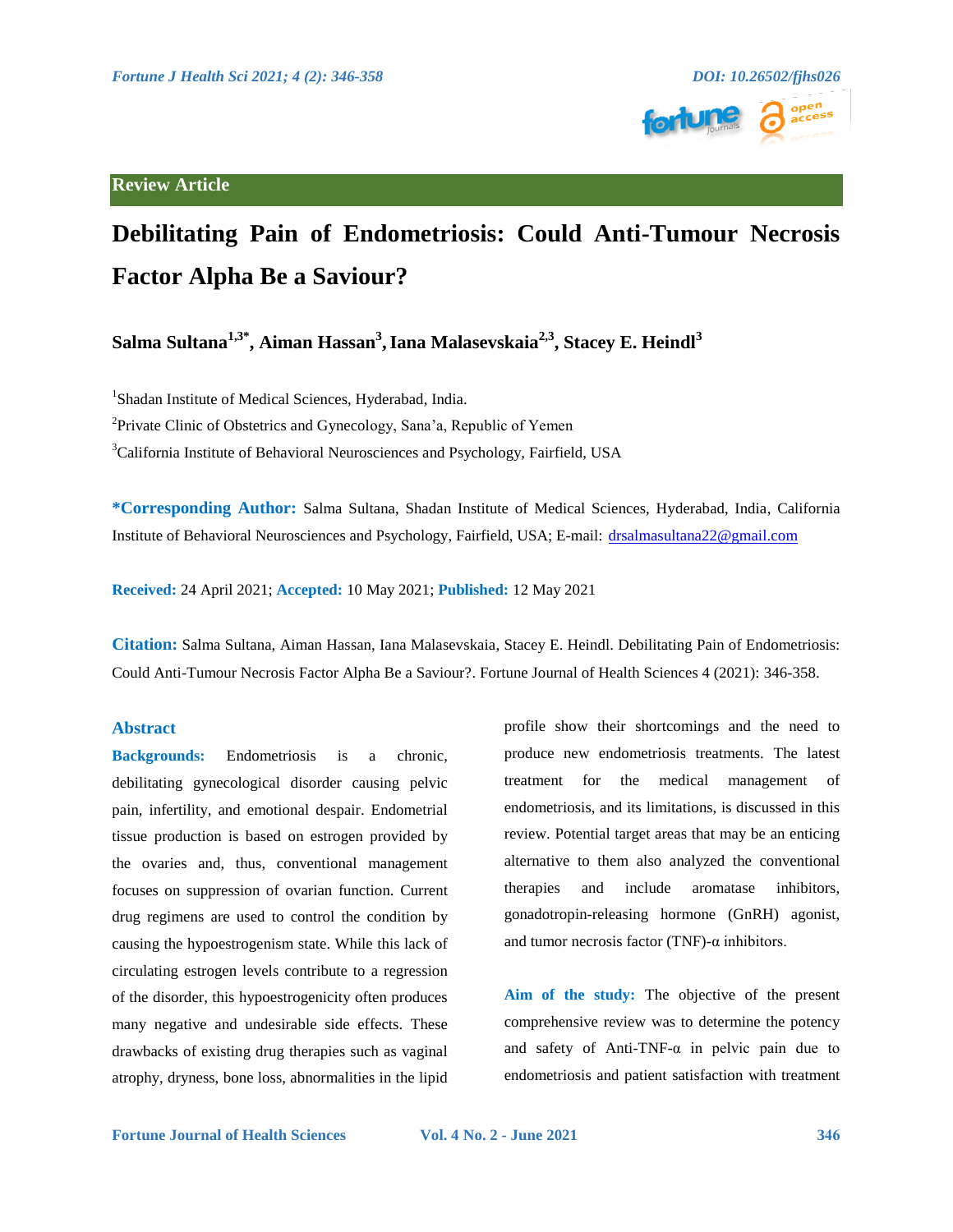

# **Review Article**

# **Debilitating Pain of Endometriosis: Could Anti-Tumour Necrosis Factor Alpha Be a Saviour?**

**Salma Sultana1,3\*, Aiman Hassan3 ,Iana Malasevskaia2,3, Stacey E. Heindl3**

<sup>1</sup>Shadan Institute of Medical Sciences, Hyderabad, India.

<sup>2</sup>Private Clinic of Obstetrics and Gynecology, Sana'a, Republic of Yemen

<sup>3</sup>California Institute of Behavioral Neurosciences and Psychology, Fairfield, USA

**\*Corresponding Author:** Salma Sultana, Shadan Institute of Medical Sciences, Hyderabad, India, California Institute of Behavioral Neurosciences and Psychology, Fairfield, USA; E-mail: [drsalmasultana22@gmail.com](mailto:drsalmasultana22@gmail.com)

**Received:** 24 April 2021; **Accepted:** 10 May 2021; **Published:** 12 May 2021

**Citation:** Salma Sultana, Aiman Hassan, Iana Malasevskaia, Stacey E. Heindl. Debilitating Pain of Endometriosis: Could Anti-Tumour Necrosis Factor Alpha Be a Saviour?. Fortune Journal of Health Sciences 4 (2021): 346-358.

# **Abstract**

**Backgrounds:** Endometriosis is a chronic, debilitating gynecological disorder causing pelvic pain, infertility, and emotional despair. Endometrial tissue production is based on estrogen provided by the ovaries and, thus, conventional management focuses on suppression of ovarian function. Current drug regimens are used to control the condition by causing the hypoestrogenism state. While this lack of circulating estrogen levels contribute to a regression of the disorder, this hypoestrogenicity often produces many negative and undesirable side effects. These drawbacks of existing drug therapies such as vaginal atrophy, dryness, bone loss, abnormalities in the lipid

profile show their shortcomings and the need to produce new endometriosis treatments. The latest treatment for the medical management of endometriosis, and its limitations, is discussed in this review. Potential target areas that may be an enticing alternative to them also analyzed the conventional therapies and include aromatase inhibitors, gonadotropin-releasing hormone (GnRH) agonist, and tumor necrosis factor (TNF)- $\alpha$  inhibitors.

**Aim of the study:** The objective of the present comprehensive review was to determine the potency and safety of Anti-TNF- $\alpha$  in pelvic pain due to endometriosis and patient satisfaction with treatment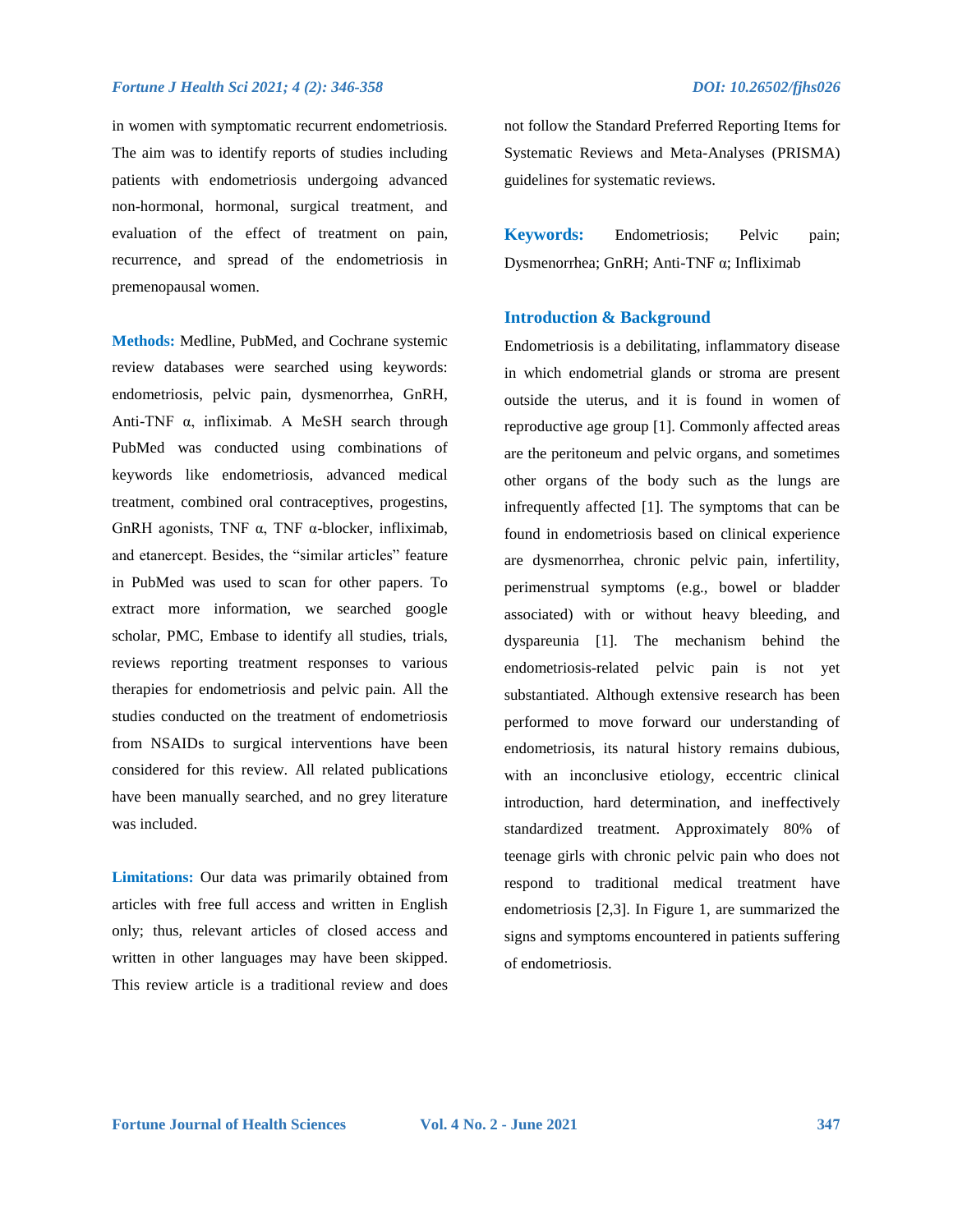in women with symptomatic recurrent endometriosis. The aim was to identify reports of studies including patients with endometriosis undergoing advanced non-hormonal, hormonal, surgical treatment, and evaluation of the effect of treatment on pain, recurrence, and spread of the endometriosis in premenopausal women.

**Methods:** Medline, PubMed, and Cochrane systemic review databases were searched using keywords: endometriosis, pelvic pain, dysmenorrhea, GnRH, Anti-TNF α, infliximab. A MeSH search through PubMed was conducted using combinations of keywords like endometriosis, advanced medical treatment, combined oral contraceptives, progestins, GnRH agonists, TNF α, TNF α-blocker, infliximab, and etanercept. Besides, the "similar articles" feature in PubMed was used to scan for other papers. To extract more information, we searched google scholar, PMC, Embase to identify all studies, trials, reviews reporting treatment responses to various therapies for endometriosis and pelvic pain. All the studies conducted on the treatment of endometriosis from NSAIDs to surgical interventions have been considered for this review. All related publications have been manually searched, and no grey literature was included.

**Limitations:** Our data was primarily obtained from articles with free full access and written in English only; thus, relevant articles of closed access and written in other languages may have been skipped. This review article is a traditional review and does not follow the Standard Preferred Reporting Items for Systematic Reviews and Meta-Analyses (PRISMA) guidelines for systematic reviews.

**Keywords:** Endometriosis; Pelvic pain; Dysmenorrhea; GnRH; Anti-TNF α; Infliximab

## **Introduction & Background**

Endometriosis is a debilitating, inflammatory disease in which endometrial glands or stroma are present outside the uterus, and it is found in women of reproductive age group [1]. Commonly affected areas are the peritoneum and pelvic organs, and sometimes other organs of the body such as the lungs are infrequently affected [1]. The symptoms that can be found in endometriosis based on clinical experience are dysmenorrhea, chronic pelvic pain, infertility, perimenstrual symptoms (e.g., bowel or bladder associated) with or without heavy bleeding, and dyspareunia [1]. The mechanism behind the endometriosis-related pelvic pain is not yet substantiated. Although extensive research has been performed to move forward our understanding of endometriosis, its natural history remains dubious, with an inconclusive etiology, eccentric clinical introduction, hard determination, and ineffectively standardized treatment. Approximately 80% of teenage girls with chronic pelvic pain who does not respond to traditional medical treatment have endometriosis [2,3]. In Figure 1, are summarized the signs and symptoms encountered in patients suffering of endometriosis.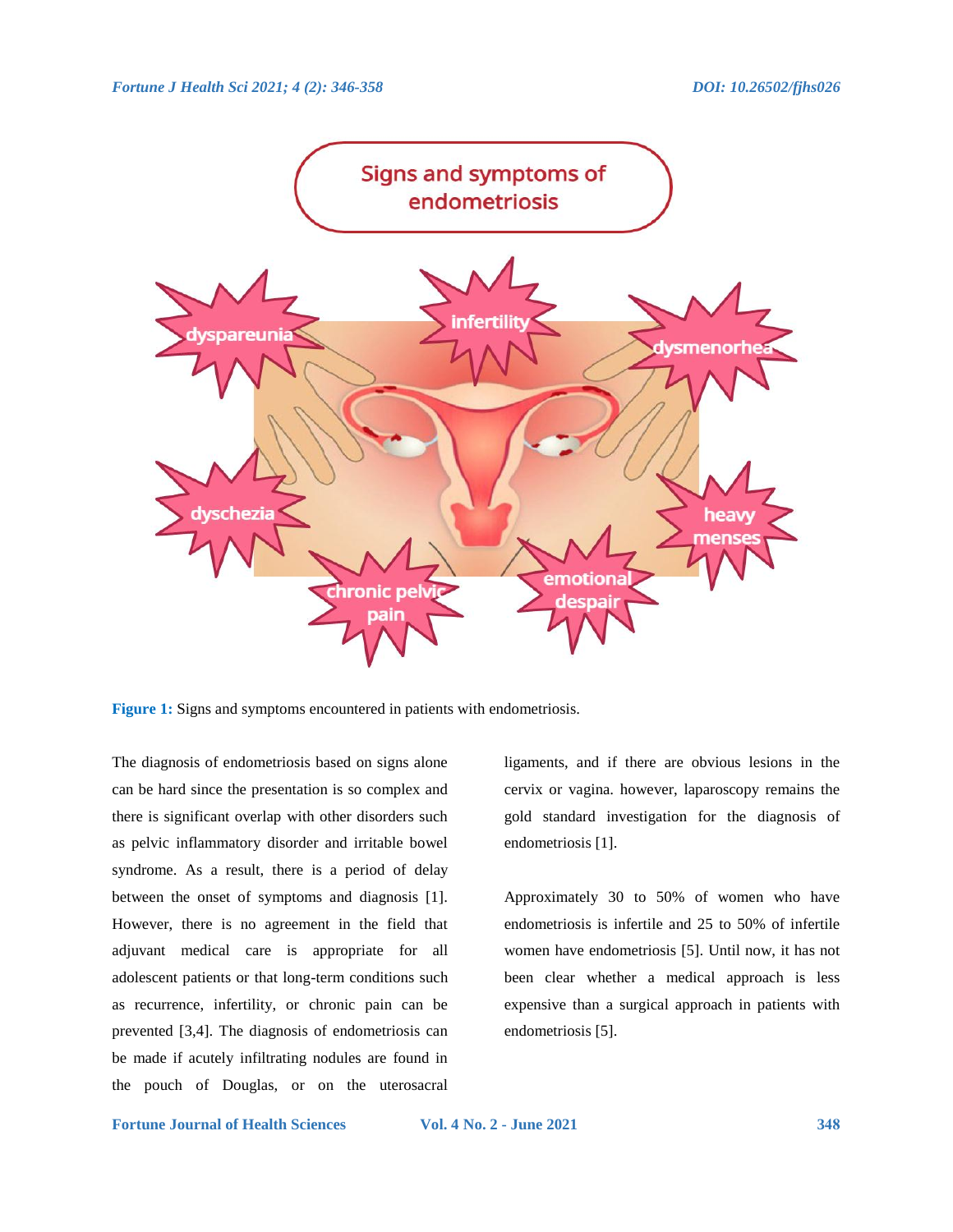

**Figure 1:** Signs and symptoms encountered in patients with endometriosis.

The diagnosis of endometriosis based on signs alone can be hard since the presentation is so complex and there is significant overlap with other disorders such as pelvic inflammatory disorder and irritable bowel syndrome. As a result, there is a period of delay between the onset of symptoms and diagnosis [1]. However, there is no agreement in the field that adjuvant medical care is appropriate for all adolescent patients or that long-term conditions such as recurrence, infertility, or chronic pain can be prevented [3,4]. The diagnosis of endometriosis can be made if acutely infiltrating nodules are found in the pouch of Douglas, or on the uterosacral

ligaments, and if there are obvious lesions in the cervix or vagina. however, laparoscopy remains the gold standard investigation for the diagnosis of endometriosis [1].

Approximately 30 to 50% of women who have endometriosis is infertile and 25 to 50% of infertile women have endometriosis [5]. Until now, it has not been clear whether a medical approach is less expensive than a surgical approach in patients with endometriosis [5].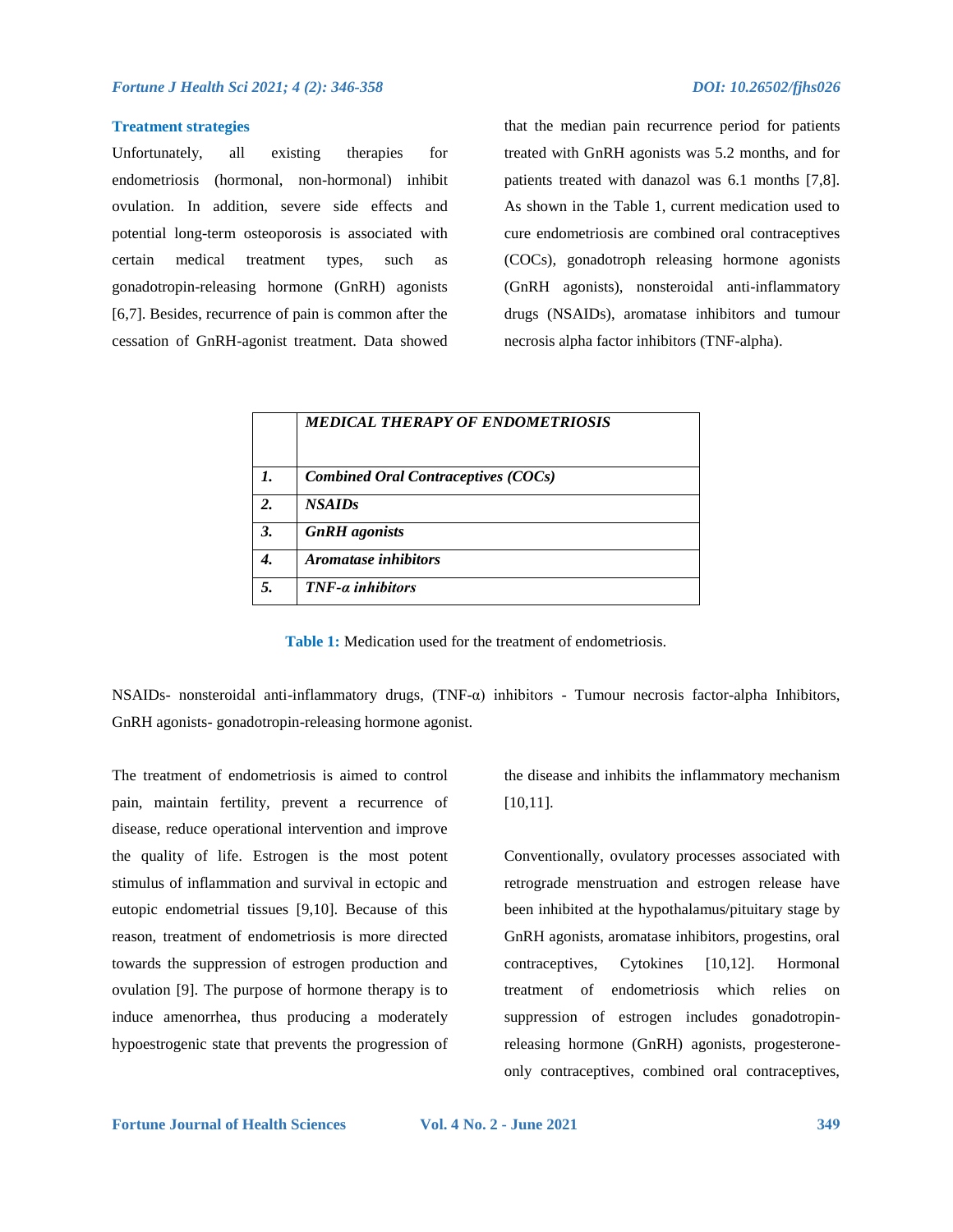### **Treatment strategies**

Unfortunately, all existing therapies for endometriosis (hormonal, non-hormonal) inhibit ovulation. In addition, severe side effects and potential long-term osteoporosis is associated with certain medical treatment types, such as gonadotropin-releasing hormone (GnRH) agonists [6,7]. Besides, recurrence of pain is common after the cessation of GnRH-agonist treatment. Data showed that the median pain recurrence period for patients treated with GnRH agonists was 5.2 months, and for patients treated with danazol was 6.1 months [7,8]. As shown in the Table 1, current medication used to cure endometriosis are combined oral contraceptives (COCs), gonadotroph releasing hormone agonists (GnRH agonists), nonsteroidal anti-inflammatory drugs (NSAIDs), aromatase inhibitors and tumour necrosis alpha factor inhibitors (TNF-alpha).

|              | MEDICAL THERAPY OF ENDOMETRIOSIS           |
|--------------|--------------------------------------------|
| $\mathbf{I}$ | <b>Combined Oral Contraceptives (COCs)</b> |
| 2.           | <b>NSAIDs</b>                              |
| 3.           | <b>GnRH</b> agonists                       |
| 4.           | <i><b>Aromatase inhibitors</b></i>         |
| 5.           | $TNF-a$ inhibitors                         |

**Table 1:** Medication used for the treatment of endometriosis.

NSAIDs- nonsteroidal anti-inflammatory drugs, (TNF-α) inhibitors - Tumour necrosis factor-alpha Inhibitors, GnRH agonists- gonadotropin-releasing hormone agonist.

The treatment of endometriosis is aimed to control pain, maintain fertility, prevent a recurrence of disease, reduce operational intervention and improve the quality of life. Estrogen is the most potent stimulus of inflammation and survival in ectopic and eutopic endometrial tissues [9,10]. Because of this reason, treatment of endometriosis is more directed towards the suppression of estrogen production and ovulation [9]. The purpose of hormone therapy is to induce amenorrhea, thus producing a moderately hypoestrogenic state that prevents the progression of the disease and inhibits the inflammatory mechanism [10,11].

Conventionally, ovulatory processes associated with retrograde menstruation and estrogen release have been inhibited at the hypothalamus/pituitary stage by GnRH agonists, aromatase inhibitors, progestins, oral contraceptives, Cytokines [10,12]. Hormonal treatment of endometriosis which relies on suppression of estrogen includes gonadotropinreleasing hormone (GnRH) agonists, progesteroneonly contraceptives, combined oral contraceptives,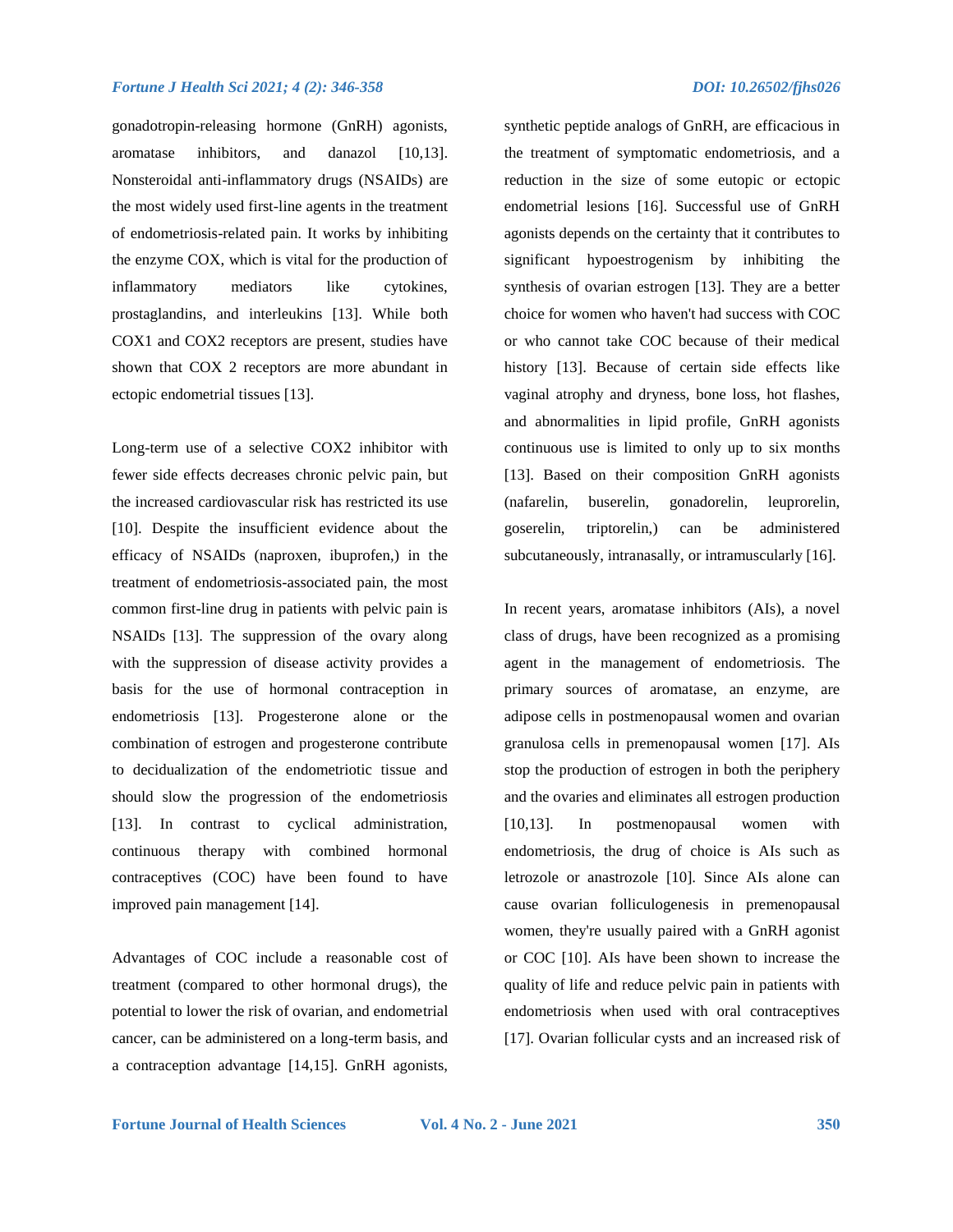gonadotropin-releasing hormone (GnRH) agonists, aromatase inhibitors, and danazol [10,13]. Nonsteroidal anti-inflammatory drugs (NSAIDs) are the most widely used first-line agents in the treatment of endometriosis-related pain. It works by inhibiting the enzyme COX, which is vital for the production of inflammatory mediators like cytokines, prostaglandins, and interleukins [13]. While both COX1 and COX2 receptors are present, studies have shown that COX 2 receptors are more abundant in ectopic endometrial tissues [13].

Long-term use of a selective COX2 inhibitor with fewer side effects decreases chronic pelvic pain, but the increased cardiovascular risk has restricted its use [10]. Despite the insufficient evidence about the efficacy of NSAIDs (naproxen, ibuprofen,) in the treatment of endometriosis-associated pain, the most common first-line drug in patients with pelvic pain is NSAIDs [13]. The suppression of the ovary along with the suppression of disease activity provides a basis for the use of hormonal contraception in endometriosis [13]. Progesterone alone or the combination of estrogen and progesterone contribute to decidualization of the endometriotic tissue and should slow the progression of the endometriosis [13]. In contrast to cyclical administration, continuous therapy with combined hormonal contraceptives (COC) have been found to have improved pain management [14].

Advantages of COC include a reasonable cost of treatment (compared to other hormonal drugs), the potential to lower the risk of ovarian, and endometrial cancer, can be administered on a long-term basis, and a contraception advantage [14,15]. GnRH agonists,

synthetic peptide analogs of GnRH, are efficacious in the treatment of symptomatic endometriosis, and a reduction in the size of some eutopic or ectopic endometrial lesions [16]. Successful use of GnRH agonists depends on the certainty that it contributes to significant hypoestrogenism by inhibiting the synthesis of ovarian estrogen [13]. They are a better choice for women who haven't had success with COC or who cannot take COC because of their medical history [13]. Because of certain side effects like vaginal atrophy and dryness, bone loss, hot flashes, and abnormalities in lipid profile, GnRH agonists continuous use is limited to only up to six months [13]. Based on their composition GnRH agonists (nafarelin, buserelin, gonadorelin, leuprorelin, goserelin, triptorelin,) can be administered subcutaneously, intranasally, or intramuscularly [16].

In recent years, aromatase inhibitors (AIs), a novel class of drugs, have been recognized as a promising agent in the management of endometriosis. The primary sources of aromatase, an enzyme, are adipose cells in postmenopausal women and ovarian granulosa cells in premenopausal women [17]. AIs stop the production of estrogen in both the periphery and the ovaries and eliminates all estrogen production [10,13]. In postmenopausal women with endometriosis, the drug of choice is AIs such as letrozole or anastrozole [10]. Since AIs alone can cause ovarian folliculogenesis in premenopausal women, they're usually paired with a GnRH agonist or COC [10]. AIs have been shown to increase the quality of life and reduce pelvic pain in patients with endometriosis when used with oral contraceptives [17]. Ovarian follicular cysts and an increased risk of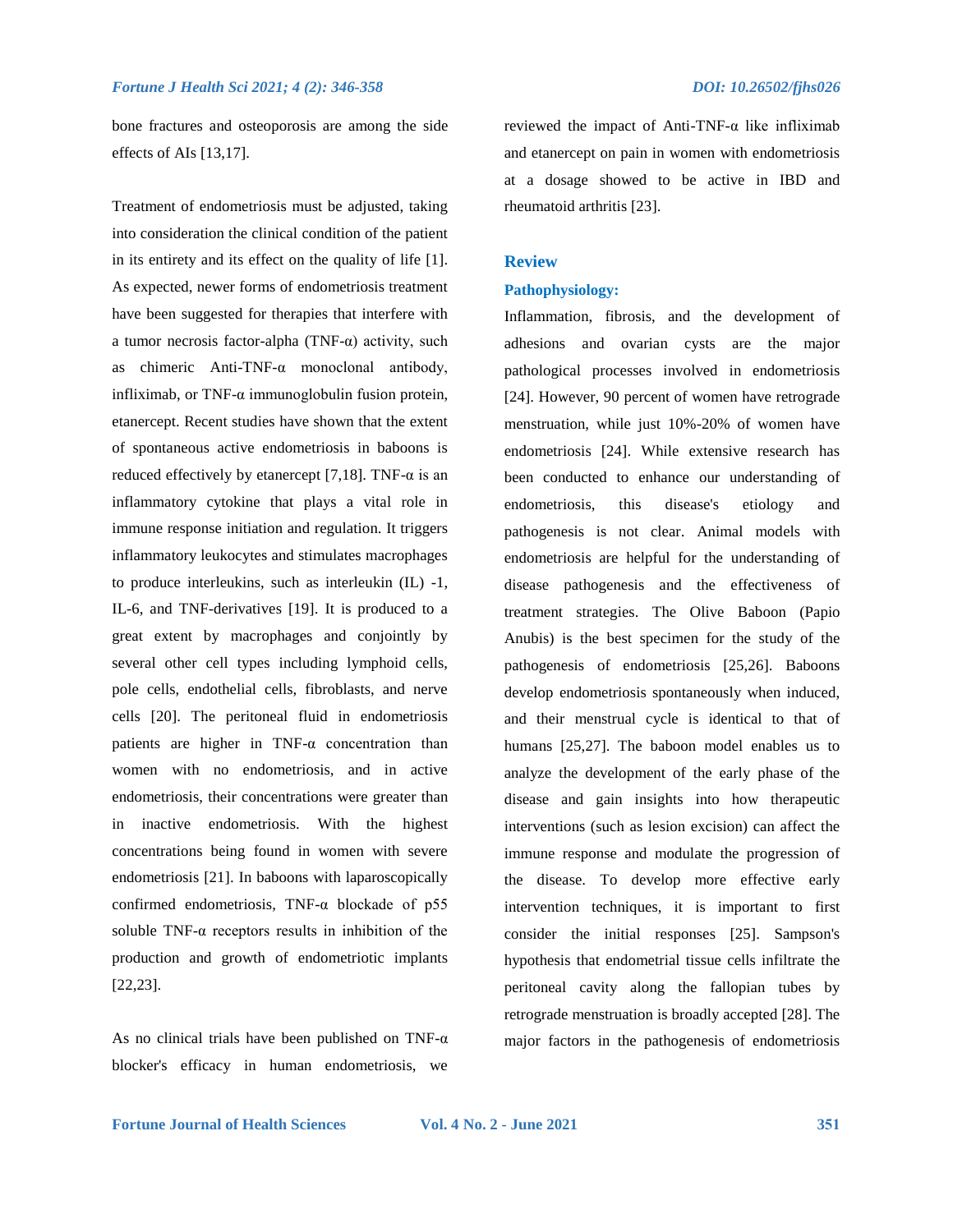bone fractures and osteoporosis are among the side effects of AIs [13,17].

Treatment of endometriosis must be adjusted, taking into consideration the clinical condition of the patient in its entirety and its effect on the quality of life [1]. As expected, newer forms of endometriosis treatment have been suggested for therapies that interfere with a tumor necrosis factor-alpha (TNF- $\alpha$ ) activity, such as chimeric Anti-TNF-α monoclonal antibody, infliximab, or TNF- $\alpha$  immunoglobulin fusion protein, etanercept. Recent studies have shown that the extent of spontaneous active endometriosis in baboons is reduced effectively by etanercept [7,18]. TNF- $\alpha$  is an inflammatory cytokine that plays a vital role in immune response initiation and regulation. It triggers inflammatory leukocytes and stimulates macrophages to produce interleukins, such as interleukin (IL) -1, IL-6, and TNF-derivatives [19]. It is produced to a great extent by macrophages and conjointly by several other cell types including lymphoid cells, pole cells, endothelial cells, fibroblasts, and nerve cells [20]. The peritoneal fluid in endometriosis patients are higher in TNF-α concentration than women with no endometriosis, and in active endometriosis, their concentrations were greater than in inactive endometriosis. With the highest concentrations being found in women with severe endometriosis [21]. In baboons with laparoscopically confirmed endometriosis, TNF-α blockade of p55 soluble  $TNF-\alpha$  receptors results in inhibition of the production and growth of endometriotic implants [22,23].

As no clinical trials have been published on TNF- $\alpha$ blocker's efficacy in human endometriosis, we

reviewed the impact of Anti-TNF-α like infliximab and etanercept on pain in women with endometriosis at a dosage showed to be active in IBD and rheumatoid arthritis [23].

#### **Review**

### **Pathophysiology:**

Inflammation, fibrosis, and the development of adhesions and ovarian cysts are the major pathological processes involved in endometriosis [24]. However, 90 percent of women have retrograde menstruation, while just 10%-20% of women have endometriosis [24]. While extensive research has been conducted to enhance our understanding of endometriosis, this disease's etiology and pathogenesis is not clear. Animal models with endometriosis are helpful for the understanding of disease pathogenesis and the effectiveness of treatment strategies. The Olive Baboon (Papio Anubis) is the best specimen for the study of the pathogenesis of endometriosis [25,26]. Baboons develop endometriosis spontaneously when induced, and their menstrual cycle is identical to that of humans [25,27]. The baboon model enables us to analyze the development of the early phase of the disease and gain insights into how therapeutic interventions (such as lesion excision) can affect the immune response and modulate the progression of the disease. To develop more effective early intervention techniques, it is important to first consider the initial responses [25]. Sampson's hypothesis that endometrial tissue cells infiltrate the peritoneal cavity along the fallopian tubes by retrograde menstruation is broadly accepted [28]. The major factors in the pathogenesis of endometriosis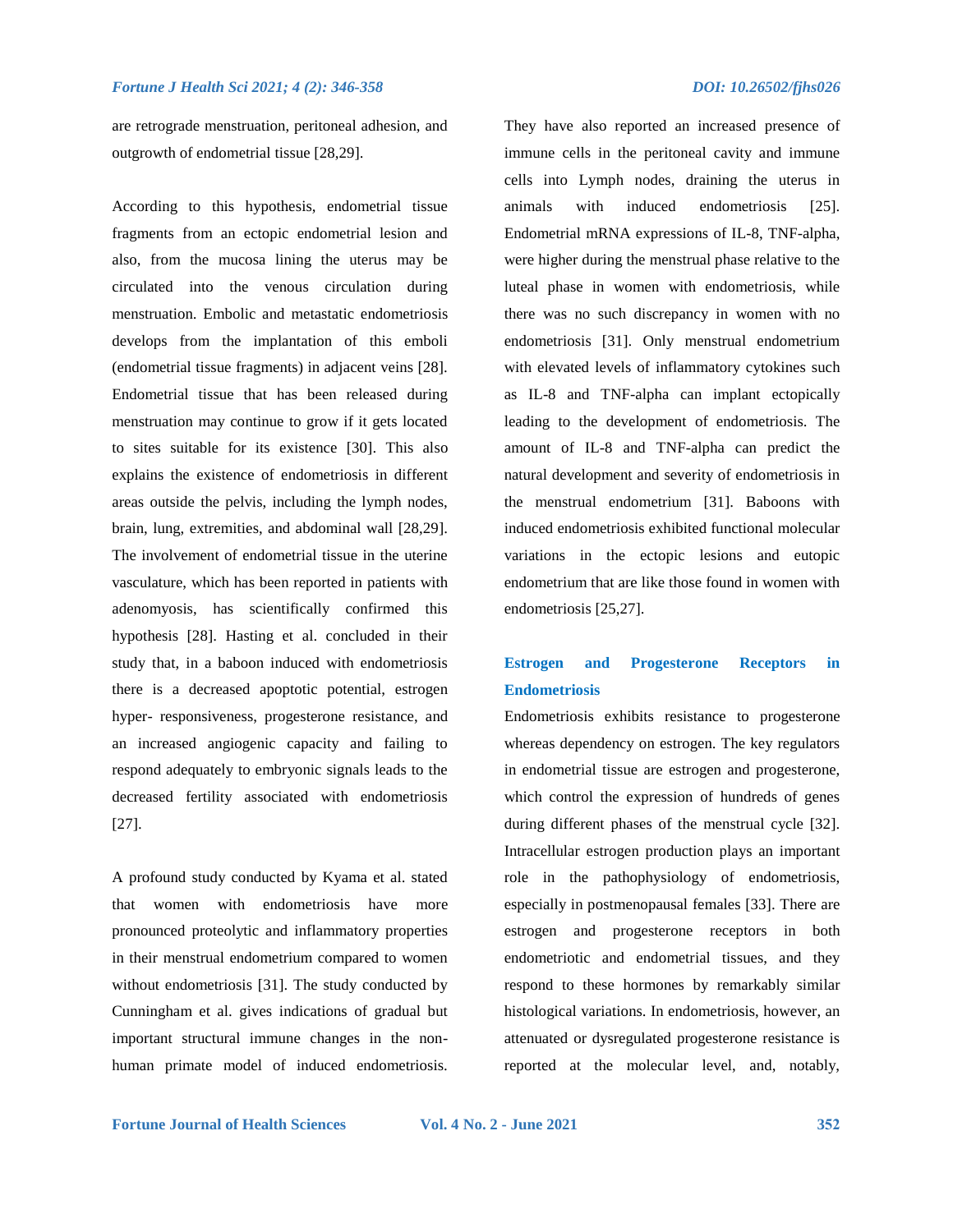are retrograde menstruation, peritoneal adhesion, and outgrowth of endometrial tissue [28,29].

According to this hypothesis, endometrial tissue fragments from an ectopic endometrial lesion and also, from the mucosa lining the uterus may be circulated into the venous circulation during menstruation. Embolic and metastatic endometriosis develops from the implantation of this emboli (endometrial tissue fragments) in adjacent veins [28]. Endometrial tissue that has been released during menstruation may continue to grow if it gets located to sites suitable for its existence [30]. This also explains the existence of endometriosis in different areas outside the pelvis, including the lymph nodes, brain, lung, extremities, and abdominal wall [28,29]. The involvement of endometrial tissue in the uterine vasculature, which has been reported in patients with adenomyosis, has scientifically confirmed this hypothesis [28]. Hasting et al. concluded in their study that, in a baboon induced with endometriosis there is a decreased apoptotic potential, estrogen hyper- responsiveness, progesterone resistance, and an increased angiogenic capacity and failing to respond adequately to embryonic signals leads to the decreased fertility associated with endometriosis [27].

A profound study conducted by Kyama et al. stated that women with endometriosis have more pronounced proteolytic and inflammatory properties in their menstrual endometrium compared to women without endometriosis [31]. The study conducted by Cunningham et al. gives indications of gradual but important structural immune changes in the nonhuman primate model of induced endometriosis.

They have also reported an increased presence of immune cells in the peritoneal cavity and immune cells into Lymph nodes, draining the uterus in animals with induced endometriosis [25]. Endometrial mRNA expressions of IL-8, TNF-alpha, were higher during the menstrual phase relative to the luteal phase in women with endometriosis, while there was no such discrepancy in women with no endometriosis [31]. Only menstrual endometrium with elevated levels of inflammatory cytokines such as IL-8 and TNF-alpha can implant ectopically leading to the development of endometriosis. The amount of IL-8 and TNF-alpha can predict the natural development and severity of endometriosis in the menstrual endometrium [31]. Baboons with induced endometriosis exhibited functional molecular variations in the ectopic lesions and eutopic endometrium that are like those found in women with endometriosis [25,27].

# **Estrogen and Progesterone Receptors in Endometriosis**

Endometriosis exhibits resistance to progesterone whereas dependency on estrogen. The key regulators in endometrial tissue are estrogen and progesterone, which control the expression of hundreds of genes during different phases of the menstrual cycle [32]. Intracellular estrogen production plays an important role in the pathophysiology of endometriosis, especially in postmenopausal females [33]. There are estrogen and progesterone receptors in both endometriotic and endometrial tissues, and they respond to these hormones by remarkably similar histological variations. In endometriosis, however, an attenuated or dysregulated progesterone resistance is reported at the molecular level, and, notably,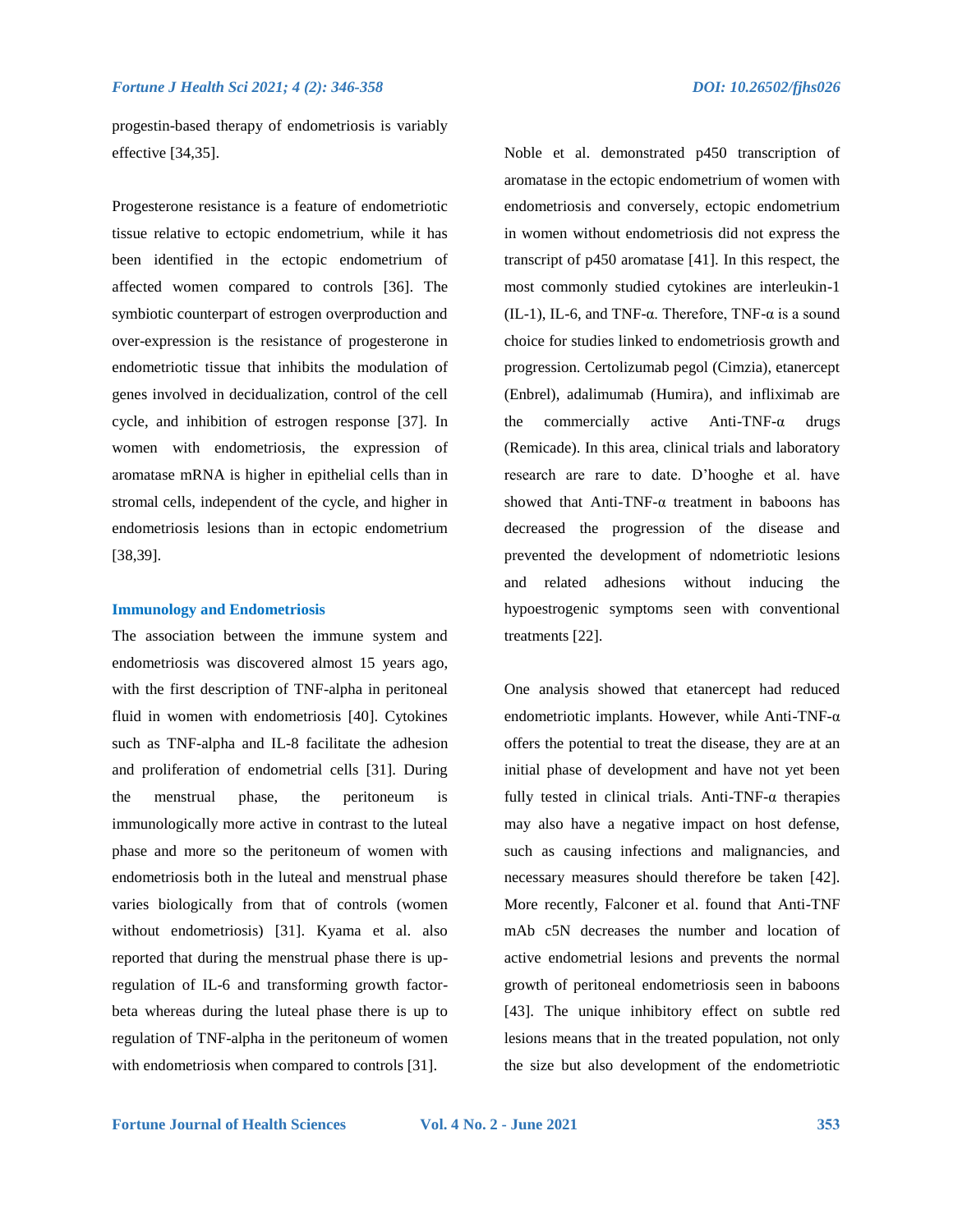progestin-based therapy of endometriosis is variably effective [34,35].

Progesterone resistance is a feature of endometriotic tissue relative to ectopic endometrium, while it has been identified in the ectopic endometrium of affected women compared to controls [36]. The symbiotic counterpart of estrogen overproduction and over-expression is the resistance of progesterone in endometriotic tissue that inhibits the modulation of genes involved in decidualization, control of the cell cycle, and inhibition of estrogen response [37]. In women with endometriosis, the expression of aromatase mRNA is higher in epithelial cells than in stromal cells, independent of the cycle, and higher in endometriosis lesions than in ectopic endometrium [38,39].

#### **Immunology and Endometriosis**

The association between the immune system and endometriosis was discovered almost 15 years ago, with the first description of TNF-alpha in peritoneal fluid in women with endometriosis [40]. Cytokines such as TNF-alpha and IL-8 facilitate the adhesion and proliferation of endometrial cells [31]. During the menstrual phase, the peritoneum is immunologically more active in contrast to the luteal phase and more so the peritoneum of women with endometriosis both in the luteal and menstrual phase varies biologically from that of controls (women without endometriosis) [31]. Kyama et al. also reported that during the menstrual phase there is upregulation of IL-6 and transforming growth factorbeta whereas during the luteal phase there is up to regulation of TNF-alpha in the peritoneum of women with endometriosis when compared to controls [31].

Noble et al. demonstrated p450 transcription of aromatase in the ectopic endometrium of women with endometriosis and conversely, ectopic endometrium in women without endometriosis did not express the transcript of p450 aromatase [41]. In this respect, the most commonly studied cytokines are interleukin-1 (IL-1), IL-6, and TNF- $\alpha$ . Therefore, TNF- $\alpha$  is a sound choice for studies linked to endometriosis growth and progression. Certolizumab pegol (Cimzia), etanercept (Enbrel), adalimumab (Humira), and infliximab are the commercially active Anti-TNF- $\alpha$  drugs (Remicade). In this area, clinical trials and laboratory research are rare to date. D'hooghe et al. have showed that Anti-TNF- $\alpha$  treatment in baboons has decreased the progression of the disease and prevented the development of ndometriotic lesions and related adhesions without inducing the hypoestrogenic symptoms seen with conventional treatments [22].

One analysis showed that etanercept had reduced endometriotic implants. However, while Anti-TNF-α offers the potential to treat the disease, they are at an initial phase of development and have not yet been fully tested in clinical trials. Anti-TNF- $\alpha$  therapies may also have a negative impact on host defense, such as causing infections and malignancies, and necessary measures should therefore be taken [42]. More recently, Falconer et al. found that Anti-TNF mAb c5N decreases the number and location of active endometrial lesions and prevents the normal growth of peritoneal endometriosis seen in baboons [43]. The unique inhibitory effect on subtle red lesions means that in the treated population, not only the size but also development of the endometriotic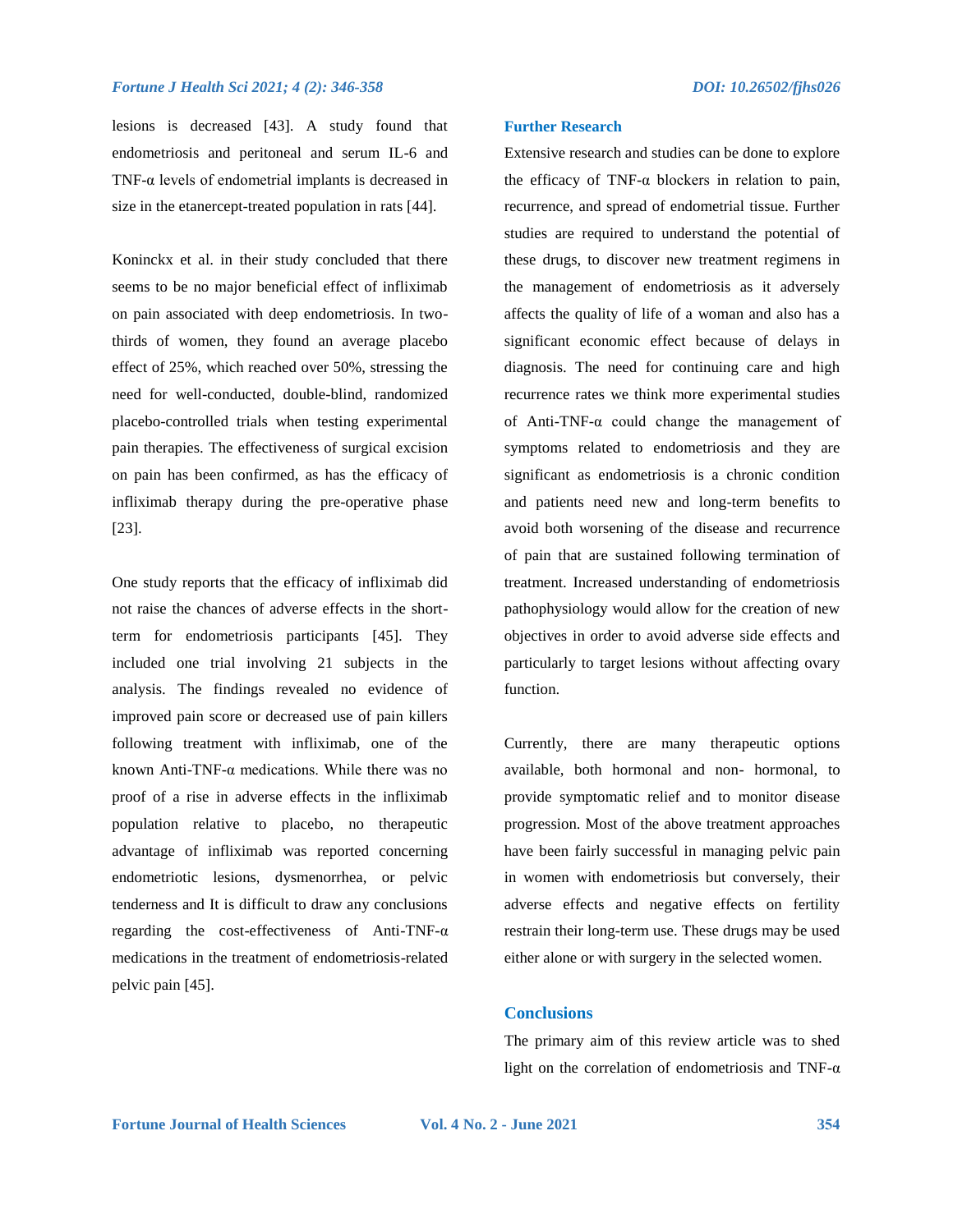lesions is decreased [43]. A study found that endometriosis and peritoneal and serum IL-6 and TNF- $\alpha$  levels of endometrial implants is decreased in size in the etanercept-treated population in rats [44].

Koninckx et al. in their study concluded that there seems to be no major beneficial effect of infliximab on pain associated with deep endometriosis. In twothirds of women, they found an average placebo effect of 25%, which reached over 50%, stressing the need for well-conducted, double-blind, randomized placebo-controlled trials when testing experimental pain therapies. The effectiveness of surgical excision on pain has been confirmed, as has the efficacy of infliximab therapy during the pre-operative phase [23].

One study reports that the efficacy of infliximab did not raise the chances of adverse effects in the shortterm for endometriosis participants [45]. They included one trial involving 21 subjects in the analysis. The findings revealed no evidence of improved pain score or decreased use of pain killers following treatment with infliximab, one of the known Anti-TNF- $\alpha$  medications. While there was no proof of a rise in adverse effects in the infliximab population relative to placebo, no therapeutic advantage of infliximab was reported concerning endometriotic lesions, dysmenorrhea, or pelvic tenderness and It is difficult to draw any conclusions regarding the cost-effectiveness of Anti-TNF-α medications in the treatment of endometriosis-related pelvic pain [45].

#### **Further Research**

Extensive research and studies can be done to explore the efficacy of TNF- $\alpha$  blockers in relation to pain, recurrence, and spread of endometrial tissue. Further studies are required to understand the potential of these drugs, to discover new treatment regimens in the management of endometriosis as it adversely affects the quality of life of a woman and also has a significant economic effect because of delays in diagnosis. The need for continuing care and high recurrence rates we think more experimental studies of Anti-TNF-α could change the management of symptoms related to endometriosis and they are significant as endometriosis is a chronic condition and patients need new and long-term benefits to avoid both worsening of the disease and recurrence of pain that are sustained following termination of treatment. Increased understanding of endometriosis pathophysiology would allow for the creation of new objectives in order to avoid adverse side effects and particularly to target lesions without affecting ovary function.

Currently, there are many therapeutic options available, both hormonal and non- hormonal, to provide symptomatic relief and to monitor disease progression. Most of the above treatment approaches have been fairly successful in managing pelvic pain in women with endometriosis but conversely, their adverse effects and negative effects on fertility restrain their long-term use. These drugs may be used either alone or with surgery in the selected women.

#### **Conclusions**

The primary aim of this review article was to shed light on the correlation of endometriosis and TNF- $\alpha$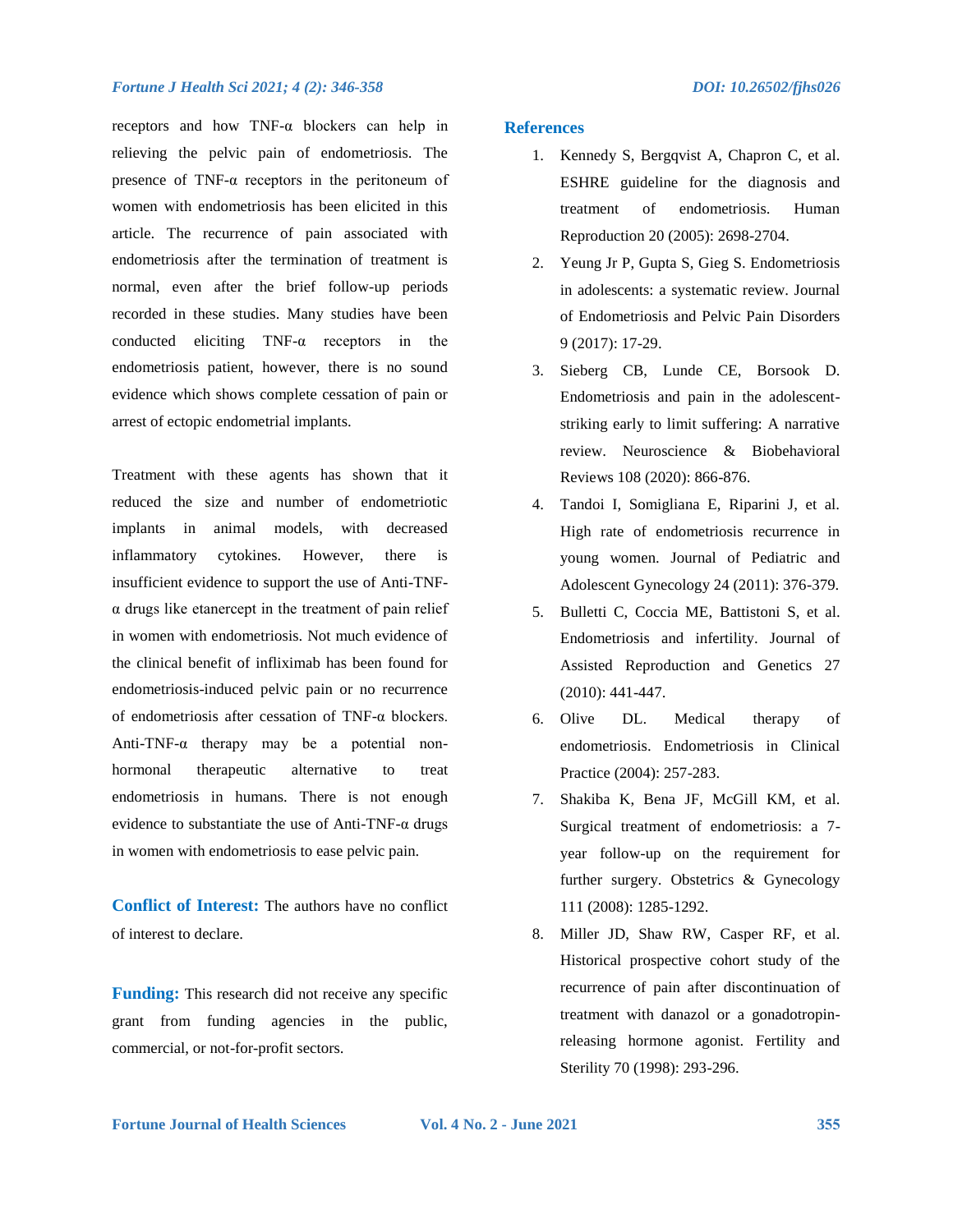#### *Fortune J Health Sci 2021; 4 (2): 346-358 DOI: 10.26502/fjhs026*

receptors and how TNF-α blockers can help in relieving the pelvic pain of endometriosis. The presence of TNF-α receptors in the peritoneum of women with endometriosis has been elicited in this article. The recurrence of pain associated with endometriosis after the termination of treatment is normal, even after the brief follow-up periods recorded in these studies. Many studies have been conducted eliciting TNF-α receptors in the endometriosis patient, however, there is no sound evidence which shows complete cessation of pain or arrest of ectopic endometrial implants.

Treatment with these agents has shown that it reduced the size and number of endometriotic implants in animal models, with decreased inflammatory cytokines. However, there is insufficient evidence to support the use of Anti-TNFα drugs like etanercept in the treatment of pain relief in women with endometriosis. Not much evidence of the clinical benefit of infliximab has been found for endometriosis-induced pelvic pain or no recurrence of endometriosis after cessation of TNF-α blockers. Anti-TNF-α therapy may be a potential nonhormonal therapeutic alternative to treat endometriosis in humans. There is not enough evidence to substantiate the use of Anti-TNF- $\alpha$  drugs in women with endometriosis to ease pelvic pain.

**Conflict of Interest:** The authors have no conflict of interest to declare.

**Funding:** This research did not receive any specific grant from funding agencies in the public, commercial, or not-for-profit sectors.

# **References**

- 1. Kennedy S, Bergqvist A, Chapron C, et al. ESHRE guideline for the diagnosis and treatment of endometriosis. Human Reproduction 20 (2005): 2698-2704.
- 2. Yeung Jr P, Gupta S, Gieg S. Endometriosis in adolescents: a systematic review. Journal of Endometriosis and Pelvic Pain Disorders 9 (2017): 17-29.
- 3. Sieberg CB, Lunde CE, Borsook D. Endometriosis and pain in the adolescentstriking early to limit suffering: A narrative review. Neuroscience & Biobehavioral Reviews 108 (2020): 866-876.
- 4. Tandoi I, Somigliana E, Riparini J, et al. High rate of endometriosis recurrence in young women. Journal of Pediatric and Adolescent Gynecology 24 (2011): 376-379.
- 5. Bulletti C, Coccia ME, Battistoni S, et al. Endometriosis and infertility. Journal of Assisted Reproduction and Genetics 27 (2010): 441-447.
- 6. Olive DL. Medical therapy of endometriosis. Endometriosis in Clinical Practice (2004): 257-283.
- 7. Shakiba K, Bena JF, McGill KM, et al. Surgical treatment of endometriosis: a 7 year follow-up on the requirement for further surgery. Obstetrics & Gynecology 111 (2008): 1285-1292.
- 8. Miller JD, Shaw RW, Casper RF, et al. Historical prospective cohort study of the recurrence of pain after discontinuation of treatment with danazol or a gonadotropinreleasing hormone agonist. Fertility and Sterility 70 (1998): 293-296.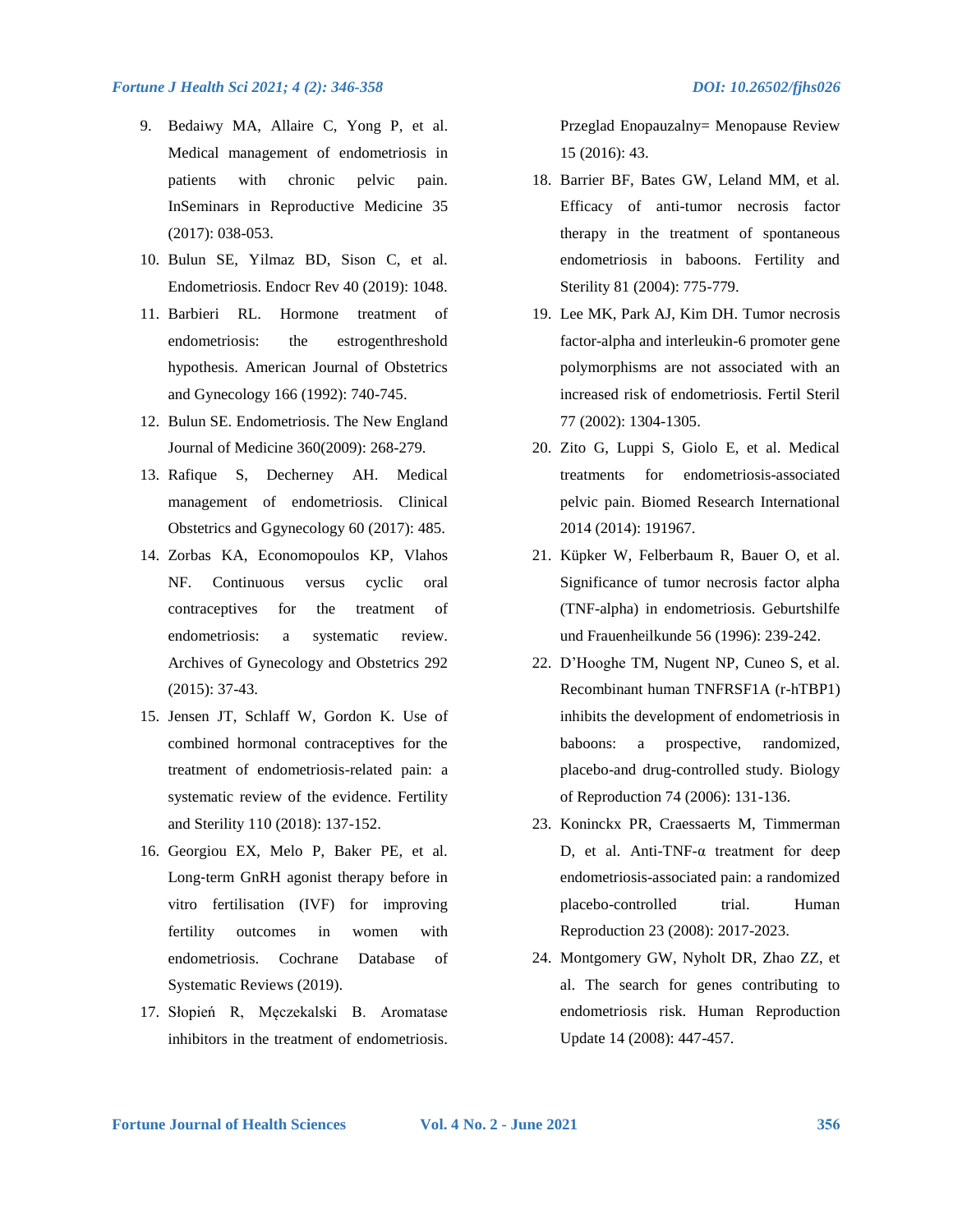#### *Fortune J Health Sci 2021; 4 (2): 346-358 DOI: 10.26502/fjhs026*

- 9. Bedaiwy MA, Allaire C, Yong P, et al. Medical management of endometriosis in patients with chronic pelvic pain. InSeminars in Reproductive Medicine 35 (2017): 038-053.
- 10. Bulun SE, Yilmaz BD, Sison C, et al. Endometriosis. Endocr Rev 40 (2019): 1048.
- 11. Barbieri RL. Hormone treatment of endometriosis: the estrogenthreshold hypothesis. American Journal of Obstetrics and Gynecology 166 (1992): 740-745.
- 12. Bulun SE. Endometriosis. The New England Journal of Medicine 360(2009): 268-279.
- 13. Rafique S, Decherney AH. Medical management of endometriosis. Clinical Obstetrics and Ggynecology 60 (2017): 485.
- 14. Zorbas KA, Economopoulos KP, Vlahos NF. Continuous versus cyclic oral contraceptives for the treatment of endometriosis: a systematic review. Archives of Gynecology and Obstetrics 292 (2015): 37-43.
- 15. Jensen JT, Schlaff W, Gordon K. Use of combined hormonal contraceptives for the treatment of endometriosis-related pain: a systematic review of the evidence. Fertility and Sterility 110 (2018): 137-152.
- 16. Georgiou EX, Melo P, Baker PE, et al. Long‐term GnRH agonist therapy before in vitro fertilisation (IVF) for improving fertility outcomes in women with endometriosis. Cochrane Database of Systematic Reviews (2019).
- 17. Słopień R, Męczekalski B. Aromatase inhibitors in the treatment of endometriosis.

Przeglad Enopauzalny= Menopause Review 15 (2016): 43.

- 18. Barrier BF, Bates GW, Leland MM, et al. Efficacy of anti-tumor necrosis factor therapy in the treatment of spontaneous endometriosis in baboons. Fertility and Sterility 81 (2004): 775-779.
- 19. Lee MK, Park AJ, Kim DH. Tumor necrosis factor-alpha and interleukin-6 promoter gene polymorphisms are not associated with an increased risk of endometriosis. Fertil Steril 77 (2002): 1304-1305.
- 20. Zito G, Luppi S, Giolo E, et al. Medical treatments for endometriosis-associated pelvic pain. Biomed Research International 2014 (2014): 191967.
- 21. Küpker W, Felberbaum R, Bauer O, et al. Significance of tumor necrosis factor alpha (TNF-alpha) in endometriosis. Geburtshilfe und Frauenheilkunde 56 (1996): 239-242.
- 22. D'Hooghe TM, Nugent NP, Cuneo S, et al. Recombinant human TNFRSF1A (r-hTBP1) inhibits the development of endometriosis in baboons: a prospective, randomized, placebo-and drug-controlled study. Biology of Reproduction 74 (2006): 131-136.
- 23. Koninckx PR, Craessaerts M, Timmerman D, et al. Anti-TNF-α treatment for deep endometriosis-associated pain: a randomized placebo-controlled trial. Human Reproduction 23 (2008): 2017-2023.
- 24. Montgomery GW, Nyholt DR, Zhao ZZ, et al. The search for genes contributing to endometriosis risk. Human Reproduction Update 14 (2008): 447-457.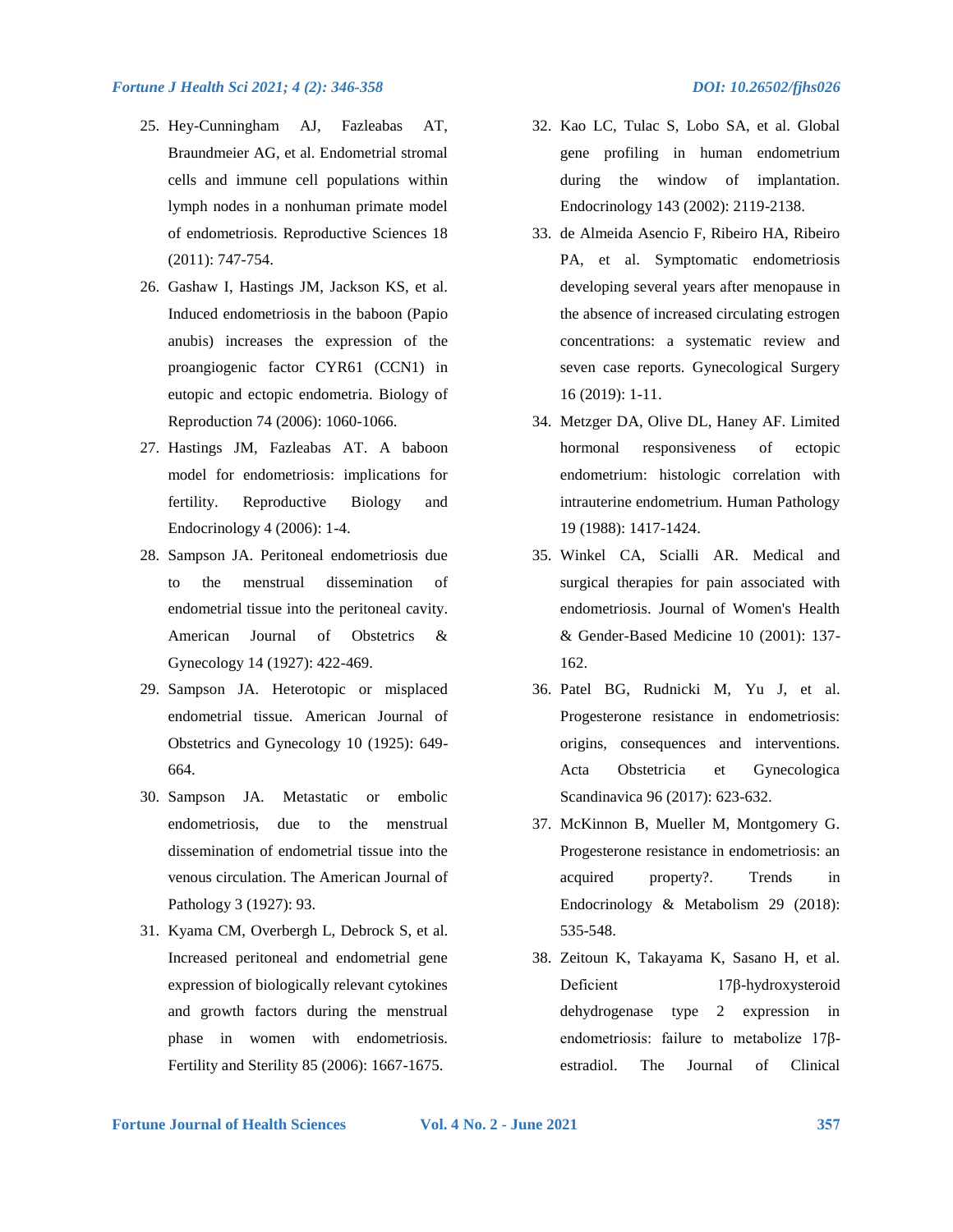#### *Fortune J Health Sci 2021; 4 (2): 346-358 DOI: 10.26502/fjhs026*

- 25. Hey-Cunningham AJ, Fazleabas AT, Braundmeier AG, et al. Endometrial stromal cells and immune cell populations within lymph nodes in a nonhuman primate model of endometriosis. Reproductive Sciences 18 (2011): 747-754.
- 26. Gashaw I, Hastings JM, Jackson KS, et al. Induced endometriosis in the baboon (Papio anubis) increases the expression of the proangiogenic factor CYR61 (CCN1) in eutopic and ectopic endometria. Biology of Reproduction 74 (2006): 1060-1066.
- 27. Hastings JM, Fazleabas AT. A baboon model for endometriosis: implications for fertility. Reproductive Biology and Endocrinology 4 (2006): 1-4.
- 28. Sampson JA. Peritoneal endometriosis due to the menstrual dissemination of endometrial tissue into the peritoneal cavity. American Journal of Obstetrics & Gynecology 14 (1927): 422-469.
- 29. Sampson JA. Heterotopic or misplaced endometrial tissue. American Journal of Obstetrics and Gynecology 10 (1925): 649- 664.
- 30. Sampson JA. Metastatic or embolic endometriosis, due to the menstrual dissemination of endometrial tissue into the venous circulation. The American Journal of Pathology 3 (1927): 93.
- 31. Kyama CM, Overbergh L, Debrock S, et al. Increased peritoneal and endometrial gene expression of biologically relevant cytokines and growth factors during the menstrual phase in women with endometriosis. Fertility and Sterility 85 (2006): 1667-1675.
- 32. Kao LC, Tulac S, Lobo SA, et al. Global gene profiling in human endometrium during the window of implantation. Endocrinology 143 (2002): 2119-2138.
- 33. de Almeida Asencio F, Ribeiro HA, Ribeiro PA, et al. Symptomatic endometriosis developing several years after menopause in the absence of increased circulating estrogen concentrations: a systematic review and seven case reports. Gynecological Surgery 16 (2019): 1-11.
- 34. Metzger DA, Olive DL, Haney AF. Limited hormonal responsiveness of ectopic endometrium: histologic correlation with intrauterine endometrium. Human Pathology 19 (1988): 1417-1424.
- 35. Winkel CA, Scialli AR. Medical and surgical therapies for pain associated with endometriosis. Journal of Women's Health & Gender-Based Medicine 10 (2001): 137- 162.
- 36. Patel BG, Rudnicki M, Yu J, et al. Progesterone resistance in endometriosis: origins, consequences and interventions. Acta Obstetricia et Gynecologica Scandinavica 96 (2017): 623-632.
- 37. McKinnon B, Mueller M, Montgomery G. Progesterone resistance in endometriosis: an acquired property?. Trends in Endocrinology & Metabolism 29 (2018): 535-548.
- 38. Zeitoun K, Takayama K, Sasano H, et al. Deficient 17β-hydroxysteroid dehydrogenase type 2 expression in endometriosis: failure to metabolize 17βestradiol. The Journal of Clinical